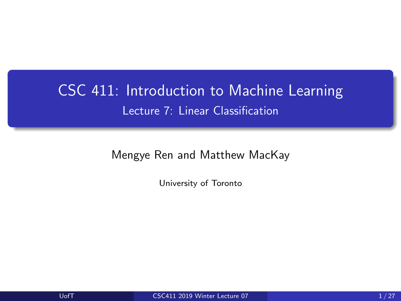# <span id="page-0-0"></span>CSC 411: Introduction to Machine Learning Lecture 7: Linear Classification

Mengye Ren and Matthew MacKay

University of Toronto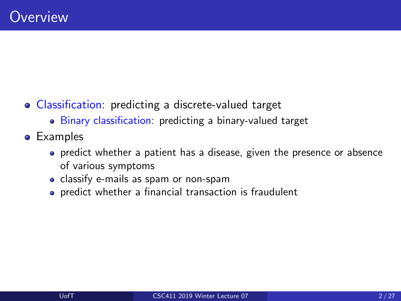- Classification: predicting a discrete-valued target
	- Binary classification: predicting a binary-valued target
- **•** Examples
	- predict whether a patient has a disease, given the presence or absence of various symptoms
	- classify e-mails as spam or non-spam
	- predict whether a financial transaction is fraudulent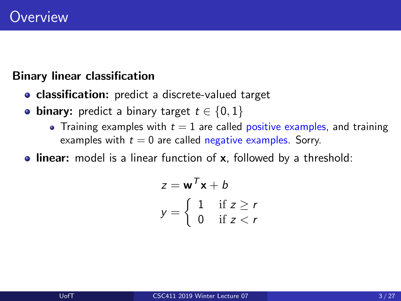## Binary linear classification

- classification: predict a discrete-valued target
- binary: predict a binary target  $t \in \{0, 1\}$ 
	- Training examples with  $t = 1$  are called positive examples, and training examples with  $t = 0$  are called negative examples. Sorry.
- **Inear:** model is a linear function of x, followed by a threshold:

$$
z = \mathbf{w}^T \mathbf{x} + b
$$

$$
y = \begin{cases} 1 & \text{if } z \ge r \\ 0 & \text{if } z < r \end{cases}
$$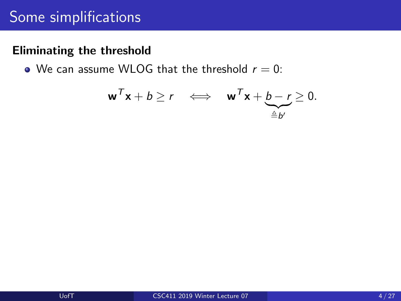# Some simplifications

### Eliminating the threshold

• We can assume WLOG that the threshold  $r = 0$ :

$$
\mathbf{w}^T \mathbf{x} + b \ge r \iff \mathbf{w}^T \mathbf{x} + \underbrace{b - r}_{\triangleq b'} \ge 0.
$$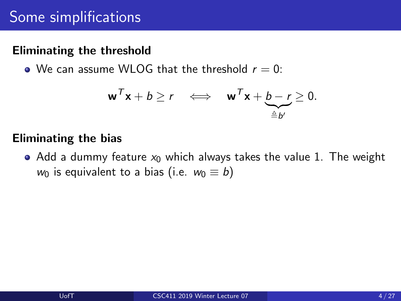## Eliminating the threshold

• We can assume WLOG that the threshold  $r = 0$ :

$$
\mathbf{w}^T \mathbf{x} + b \ge r \iff \mathbf{w}^T \mathbf{x} + \underbrace{b - r}_{\triangleq b'} \ge 0.
$$

#### Eliminating the bias

• Add a dummy feature  $x_0$  which always takes the value 1. The weight  $w_0$  is equivalent to a bias (i.e.  $w_0 \equiv b$ )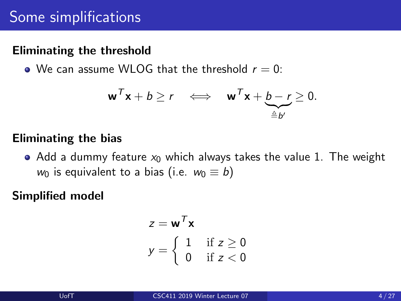## Eliminating the threshold

• We can assume WLOG that the threshold  $r = 0$ :

$$
\mathbf{w}^T \mathbf{x} + b \ge r \iff \mathbf{w}^T \mathbf{x} + \underbrace{b - r}_{\triangleq b'} \ge 0.
$$

#### Eliminating the bias

• Add a dummy feature  $x_0$  which always takes the value 1. The weight  $w_0$  is equivalent to a bias (i.e.  $w_0 \equiv b$ )

Simplified model

$$
z = \mathbf{w}^T \mathbf{x}
$$

$$
y = \begin{cases} 1 & \text{if } z \ge 0 \\ 0 & \text{if } z < 0 \end{cases}
$$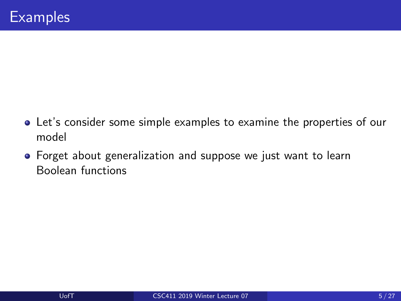- Let's consider some simple examples to examine the properties of our model
- Forget about generalization and suppose we just want to learn Boolean functions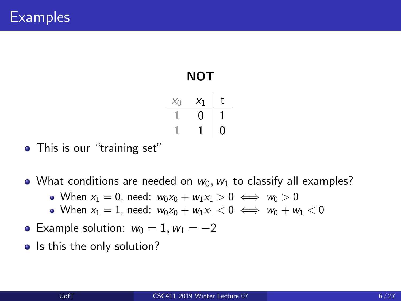| NOT |       |   |  |
|-----|-------|---|--|
|     | $x_1$ | t |  |
|     | 0     |   |  |
|     |       | 0 |  |

• This is our "training set"

• What conditions are needed on  $w_0, w_1$  to classify all examples?

- When  $x_1 = 0$ , need:  $w_0x_0 + w_1x_1 > 0 \iff w_0 > 0$
- When  $x_1 = 1$ , need:  $w_0x_0 + w_1x_1 < 0 \iff w_0 + w_1 < 0$
- Example solution:  $w_0 = 1, w_1 = -2$
- Is this the only solution?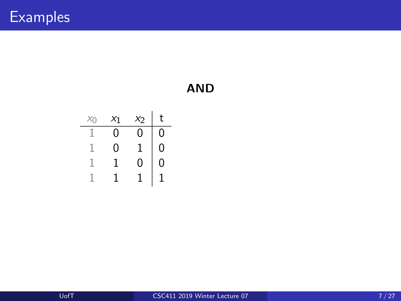| $X_{\cap}$ | $x_1$ | $x_2$ | t |
|------------|-------|-------|---|
|            | 0     | 0     | 0 |
|            | 0     | 1     | 0 |
|            |       | 0     | 0 |
|            |       |       |   |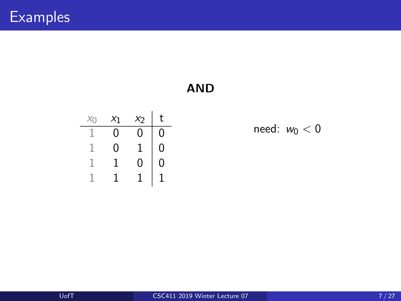| $X_{()}$ | $x_1$ | $x_2$ | t |
|----------|-------|-------|---|
|          | 0     | 0     | 0 |
|          | 0     |       | 0 |
|          |       | 0     | 0 |
|          |       |       |   |

need:  $w_0 < 0$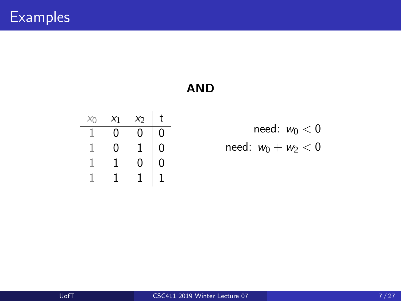| $X_{()}$ | $x_1$ | $x_2$ | t |
|----------|-------|-------|---|
|          | 0     | 0     | 0 |
|          | 0     | 1     | 0 |
|          |       | 0     | 0 |
|          |       |       |   |

need:  $w_0 < 0$ need:  $w_0 + w_2 < 0$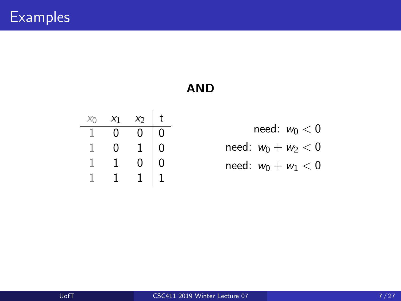| $X_{()}$ | $x_1$ | $x_2$ | t |
|----------|-------|-------|---|
|          | 0     | Ω     | 0 |
|          | 0     |       | 0 |
|          |       | 0     | 0 |
|          |       |       |   |

need:  $w_0 < 0$ need:  $w_0 + w_2 < 0$ need:  $w_0 + w_1 < 0$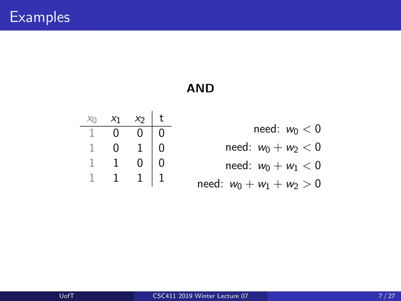| $X_{\Omega}$ | $x_1$ | $x_2$ | t |
|--------------|-------|-------|---|
|              | 0     | 0     | 0 |
|              | 0     | 1     | 0 |
|              |       | 0     | 0 |
|              |       |       |   |

| need: $w_0 < 0$       |  |
|-----------------------|--|
| need: $w_0 + w_2 < 0$ |  |

need:  $w_0 + w_1 < 0$ 

need: 
$$
w_0 + w_1 + w_2 > 0
$$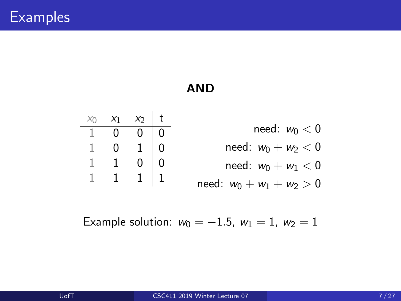

Example solution: 
$$
w_0 = -1.5
$$
,  $w_1 = 1$ ,  $w_2 = 1$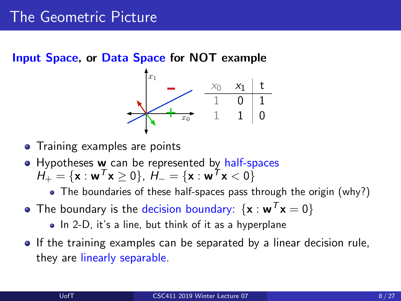Input Space, or Data Space for NOT example



- Training examples are points
- Hypotheses **w** can be represented by half-spaces  $H_+ = \{x : w^T x \geq 0\}, H_- = \{x : w^T x < 0\}$ 
	- The boundaries of these half-spaces pass through the origin (why?)
- The boundary is the decision boundary:  $\{x : w^T x = 0\}$ 
	- $\bullet$  In 2-D, it's a line, but think of it as a hyperplane
- **If the training examples can be separated by a linear decision rule,** they are linearly separable.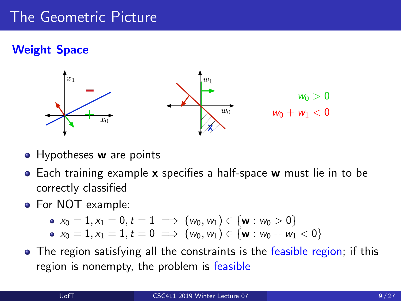## Weight Space



- Hypotheses w are points
- Each training example x specifies a half-space w must lie in to be correctly classified
- For NOT example:

$$
\bullet\ \ x_0=1, x_1=0, t=1\implies \big(w_0,w_1\big)\in \{\textbf{w}: w_0>0\}
$$

$$
\bullet\ \ x_0=1, x_1=1, t=0 \implies (\mathsf{w}_0,\mathsf{w}_1)\in \{\mathsf{w}:\mathsf{w}_0+\mathsf{w}_1<0\}
$$

• The region satisfying all the constraints is the feasible region; if this region is nonempty, the problem is feasible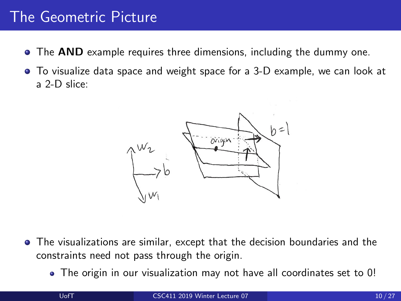- The AND example requires three dimensions, including the dummy one.
- To visualize data space and weight space for a 3-D example, we can look at a 2-D slice:



- The visualizations are similar, except that the decision boundaries and the constraints need not pass through the origin.
	- The origin in our visualization may not have all coordinates set to 0!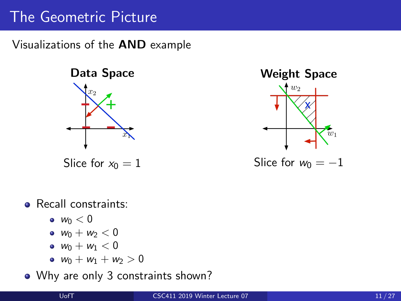Visualizations of the AND example



Slice for  $x_0 = 1$ 



• Recall constraints:

- $\bullet$   $w_0 < 0$
- $w_0 + w_2 < 0$
- $w_0 + w_1 < 0$
- $w_0 + w_1 + w_2 > 0$

### • Why are only 3 constraints shown?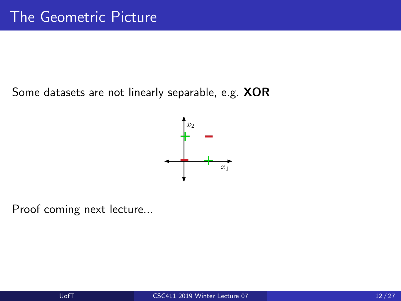Some datasets are not linearly separable, e.g. XOR



Proof coming next lecture...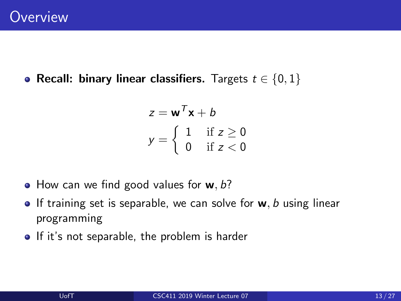• Recall: binary linear classifiers. Targets  $t \in \{0, 1\}$ 

$$
z = \mathbf{w}^T \mathbf{x} + b
$$

$$
y = \begin{cases} 1 & \text{if } z \ge 0 \\ 0 & \text{if } z < 0 \end{cases}
$$

- $\bullet$  How can we find good values for **w**, *b*?
- If training set is separable, we can solve for  $w, b$  using linear programming
- If it's not separable, the problem is harder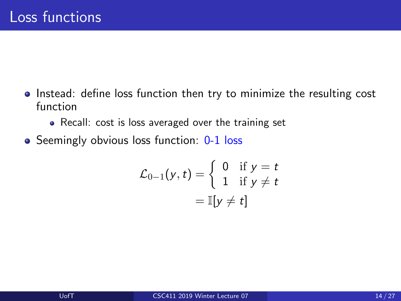- **Instead:** define loss function then try to minimize the resulting cost function
	- Recall: cost is loss averaged over the training set
- Seemingly obvious loss function: 0-1 loss

$$
\mathcal{L}_{0-1}(y,t) = \left\{ \begin{array}{ll} 0 & \text{if } y = t \\ 1 & \text{if } y \neq t \end{array} \right.
$$

$$
= \mathbb{I}[y \neq t]
$$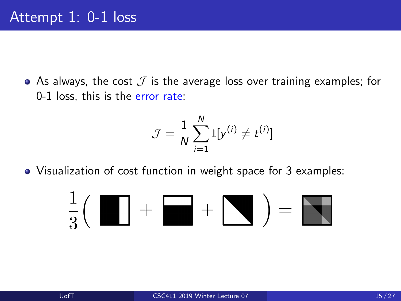• As always, the cost  $\mathcal J$  is the average loss over training examples; for 0-1 loss, this is the error rate:

$$
\mathcal{J} = \frac{1}{N} \sum_{i=1}^{N} \mathbb{I}[y^{(i)} \neq t^{(i)}]
$$

• Visualization of cost function in weight space for 3 examples:

$$
\frac{1}{3} \Big( \begin{array}{|c|c|} \hline \hline \rule{0pt}{1.2ex} & + & \\\hline \rule{0pt}{1.2ex} & + & \\\hline \rule{0pt}{1.2ex} & & \end{array} \Big) = \begin{array}{|c|c|} \hline \rule{0pt}{1.2ex} & + & \\\hline \rule{0pt}{1.2ex} & & \\\hline \rule{0pt}{1.2ex} & & \\\hline \rule{0pt}{1.2ex} & & \end{array} \Big)
$$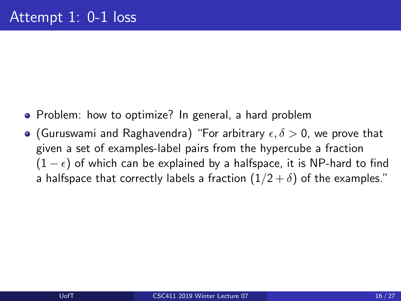- Problem: how to optimize? In general, a hard problem
- **•** (Guruswami and Raghavendra) "For arbitrary  $\epsilon, \delta > 0$ , we prove that given a set of examples-label pairs from the hypercube a fraction  $(1 - \epsilon)$  of which can be explained by a halfspace, it is NP-hard to find a halfspace that correctly labels a fraction  $(1/2 + \delta)$  of the examples."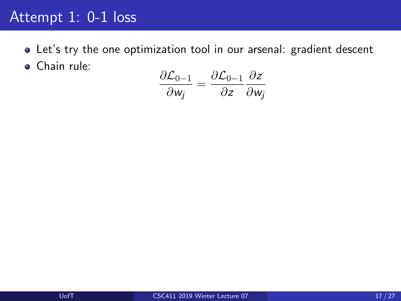## Attempt 1: 0-1 loss

Let's try the one optimization tool in our arsenal: gradient descent **•** Chain rule:

$$
\frac{\partial \mathcal{L}_{0-1}}{\partial w_j} = \frac{\partial \mathcal{L}_{0-1}}{\partial z} \frac{\partial z}{\partial w_j}
$$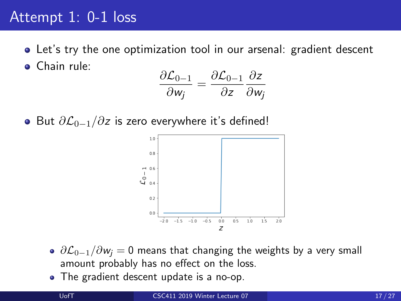## Attempt 1: 0-1 loss

Let's try the one optimization tool in our arsenal: gradient descent Chain rule:

$$
\frac{\partial \mathcal{L}_{0-1}}{\partial w_j} = \frac{\partial \mathcal{L}_{0-1}}{\partial z} \frac{\partial z}{\partial w_j}
$$

• But  $\partial \mathcal{L}_{0-1}/\partial z$  is zero everywhere it's defined!



- $\partial \mathcal{L}_{0-1}/\partial w_i = 0$  means that changing the weights by a very small amount probably has no effect on the loss.
- The gradient descent update is a no-op.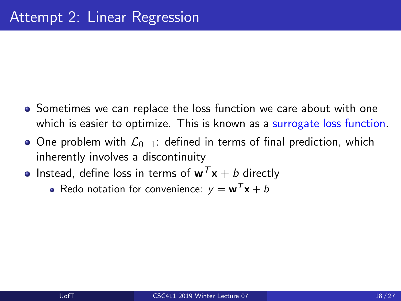- Sometimes we can replace the loss function we care about with one which is easier to optimize. This is known as a surrogate loss function.
- One problem with  $\mathcal{L}_{0-1}$ : defined in terms of final prediction, which inherently involves a discontinuity
- **•** Instead, define loss in terms of  $w^T x + b$  directly
	- Redo notation for convenience:  $y = w^T x + b$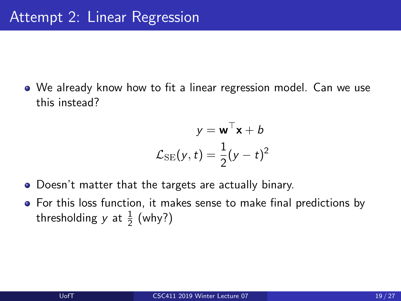We already know how to fit a linear regression model. Can we use this instead?

$$
y = \mathbf{w}^{\top} \mathbf{x} + b
$$

$$
\mathcal{L}_{SE}(y, t) = \frac{1}{2}(y - t)^2
$$

- Doesn't matter that the targets are actually binary.
- For this loss function, it makes sense to make final predictions by thresholding y at  $\frac{1}{2}$  (why?)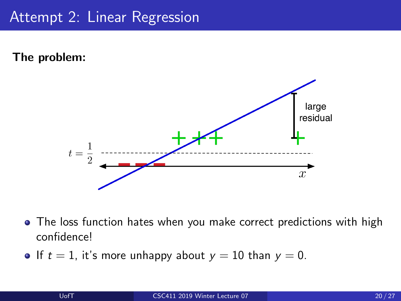The problem:



- The loss function hates when you make correct predictions with high confidence!
- If  $t = 1$ , it's more unhappy about  $y = 10$  than  $y = 0$ .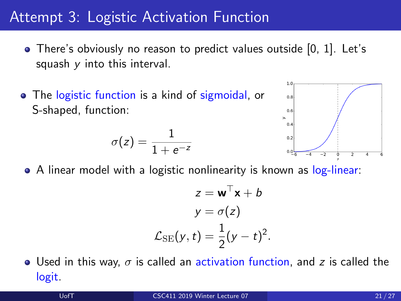# Attempt 3: Logistic Activation Function

- There's obviously no reason to predict values outside [0, 1]. Let's squash  $y$  into this interval.
- The logistic function is a kind of sigmoidal, or S-shaped, function:

$$
\sigma(z)=\frac{1}{1+e^{-z}}
$$



• A linear model with a logistic nonlinearity is known as log-linear:

$$
z = \mathbf{w}^{\top} \mathbf{x} + b
$$

$$
y = \sigma(z)
$$

$$
\mathcal{L}_{\text{SE}}(y, t) = \frac{1}{2}(y - t)^2.
$$

**•** Used in this way,  $\sigma$  is called an activation function, and z is called the logit.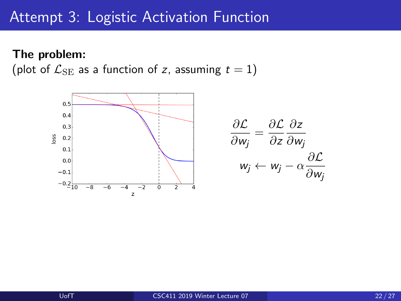## Attempt 3: Logistic Activation Function

#### The problem:

(plot of  $\mathcal{L}_{\text{SE}}$  as a function of z, assuming  $t = 1$ )

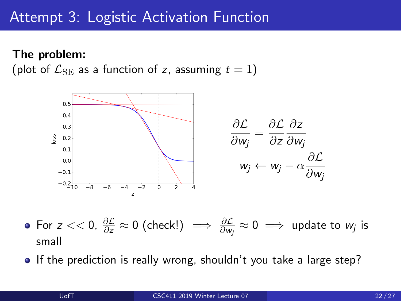## Attempt 3: Logistic Activation Function

#### The problem:

(plot of  $\mathcal{L}_{\text{SE}}$  as a function of z, assuming  $t = 1$ )



- For  $z << 0$ ,  $\frac{\partial \mathcal{L}}{\partial z} \approx 0$  (check!)  $\implies \frac{\partial \mathcal{L}}{\partial w_j} \approx 0 \implies$  update to  $w_j$  is small
- If the prediction is really wrong, shouldn't you take a large step?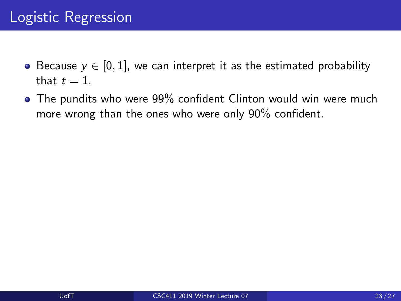- Because  $y \in [0, 1]$ , we can interpret it as the estimated probability that  $t = 1$ .
- The pundits who were 99% confident Clinton would win were much more wrong than the ones who were only 90% confident.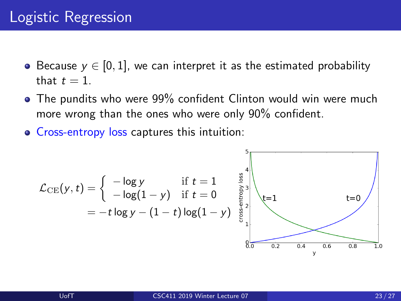- Because  $y \in [0, 1]$ , we can interpret it as the estimated probability that  $t = 1$ .
- The pundits who were 99% confident Clinton would win were much more wrong than the ones who were only 90% confident.
- Cross-entropy loss captures this intuition:

$$
\mathcal{L}_{\text{CE}}(y, t) = \begin{cases}\n-\log y & \text{if } t = 1 \\
-\log(1 - y) & \text{if } t = 0 \\
= -t \log y - (1 - t) \log(1 - y) & \text{if } t = 1\n\end{cases}
$$
\nt=0\n
$$
8\sqrt{\log \log y - 1}
$$
\nt=0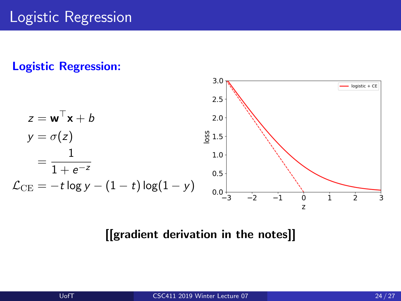

### [[gradient derivation in the notes]]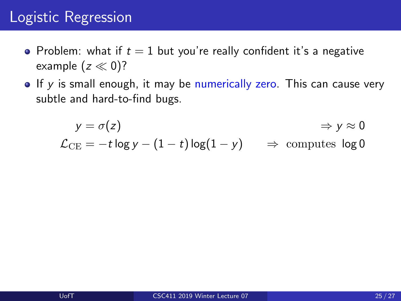- Problem: what if  $t = 1$  but you're really confident it's a negative example  $(z \ll 0)$ ?
- $\bullet$  If y is small enough, it may be numerically zero. This can cause very subtle and hard-to-find bugs.

$$
y = \sigma(z) \qquad \Rightarrow y \approx 0
$$
  
\n
$$
\mathcal{L}_{CE} = -t \log y - (1 - t) \log(1 - y) \qquad \Rightarrow \text{ computes } \log 0
$$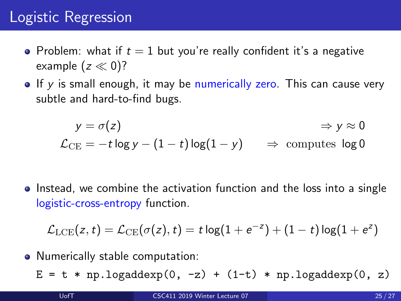- Problem: what if  $t = 1$  but you're really confident it's a negative example  $(z \ll 0)$ ?
- $\bullet$  If y is small enough, it may be numerically zero. This can cause very subtle and hard-to-find bugs.

$$
y = \sigma(z) \qquad \Rightarrow y \approx 0
$$
  
\n
$$
\mathcal{L}_{CE} = -t \log y - (1 - t) \log(1 - y) \qquad \Rightarrow \text{ computes } \log 0
$$

• Instead, we combine the activation function and the loss into a single logistic-cross-entropy function.

$$
\mathcal{L}_{\text{LCE}}(z,t) = \mathcal{L}_{\text{CE}}(\sigma(z),t) = t \log(1+e^{-z}) + (1-t) \log(1+e^{z})
$$

• Numerically stable computation:

 $E = t * np.logadderxp(0, -z) + (1-t) * np.logadder(p, z)$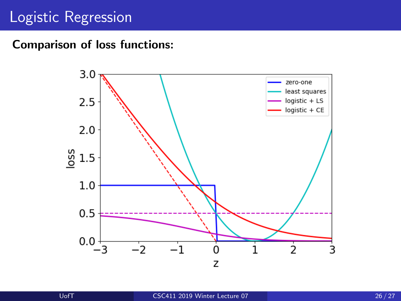Comparison of loss functions:

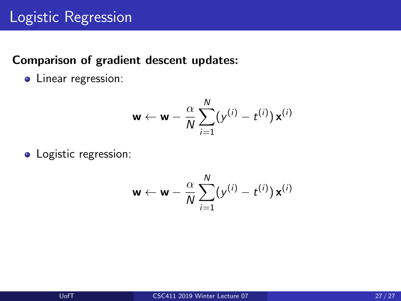### Comparison of gradient descent updates:

• Linear regression:

$$
\mathbf{w} \leftarrow \mathbf{w} - \frac{\alpha}{N} \sum_{i=1}^N (y^{(i)} - t^{(i)}) \mathbf{x}^{(i)}
$$

• Logistic regression:

$$
\mathbf{w} \leftarrow \mathbf{w} - \frac{\alpha}{N} \sum_{i=1}^N (y^{(i)} - t^{(i)}) \mathbf{x}^{(i)}
$$